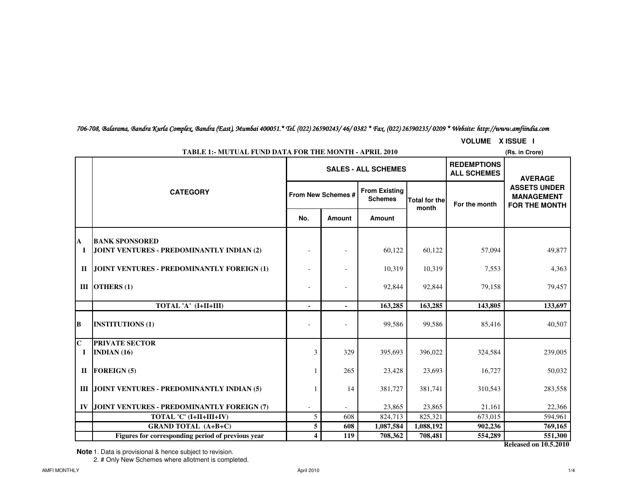706-708, Balarama, Bandra Kurla Complex, Bandra (East), Mumbai 400051.\* Tel. (022) 26590243/ 46/ 0382 \* Fax. (022) 26590235/ 0209 \* Website: http://www.amfiindia.com

**VOLUME X ISSUE I**

|                         | <b>TABLE 1:- MUTUAL FUND DATA FOR THE MONTH - APRIL 2010</b><br>(Rs. in Crore) |                         |                    |                                        |                                          |                                                                                    |                              |  |  |  |
|-------------------------|--------------------------------------------------------------------------------|-------------------------|--------------------|----------------------------------------|------------------------------------------|------------------------------------------------------------------------------------|------------------------------|--|--|--|
|                         |                                                                                |                         |                    | <b>SALES - ALL SCHEMES</b>             | <b>REDEMPTIONS</b><br><b>ALL SCHEMES</b> | <b>AVERAGE</b><br><b>ASSETS UNDER</b><br><b>MANAGEMENT</b><br><b>FOR THE MONTH</b> |                              |  |  |  |
|                         | <b>CATEGORY</b>                                                                |                         | From New Schemes # | <b>From Existing</b><br><b>Schemes</b> | <b>Total for the</b><br>month            |                                                                                    | For the month                |  |  |  |
|                         |                                                                                | No.                     | Amount             | <b>Amount</b>                          |                                          |                                                                                    |                              |  |  |  |
|                         | <b>BANK SPONSORED</b>                                                          |                         |                    |                                        |                                          |                                                                                    |                              |  |  |  |
| A<br>$\mathbf I$        | JOINT VENTURES - PREDOMINANTLY INDIAN (2)                                      |                         |                    | 60,122                                 | 60,122                                   | 57,094                                                                             | 49,877                       |  |  |  |
| $\mathbf{I}$            | JOINT VENTURES - PREDOMINANTLY FOREIGN (1)                                     |                         |                    | 10,319                                 | 10,319                                   | 7,553                                                                              | 4,363                        |  |  |  |
|                         | III OTHERS $(1)$                                                               |                         |                    | 92,844                                 | 92,844                                   | 79,158                                                                             | 79,457                       |  |  |  |
|                         | TOTAL 'A' (I+II+III)                                                           | $\blacksquare$          | $\sim$             | 163,285                                | 163,285                                  | 143,805                                                                            | 133,697                      |  |  |  |
| B                       | <b>INSTITUTIONS (1)</b>                                                        |                         |                    | 99,586                                 | 99,586                                   | 85,416                                                                             | 40,507                       |  |  |  |
| $\mathbf C$<br><b>I</b> | <b>PRIVATE SECTOR</b><br>INDIAN $(16)$                                         | 3                       | 329                | 395,693                                | 396,022                                  | 324,584                                                                            | 239,005                      |  |  |  |
| $\mathbf{I}$            | <b>FOREIGN (5)</b>                                                             |                         | 265                | 23,428                                 | 23,693                                   | 16,727                                                                             | 50,032                       |  |  |  |
|                         | <b>III JOINT VENTURES - PREDOMINANTLY INDIAN (5)</b>                           |                         | 14                 | 381,727                                | 381,741                                  | 310,543                                                                            | 283,558                      |  |  |  |
|                         |                                                                                |                         |                    |                                        |                                          |                                                                                    |                              |  |  |  |
| IV                      | JOINT VENTURES - PREDOMINANTLY FOREIGN (7)                                     |                         |                    | 23,865                                 | 23,865                                   | 21,161                                                                             | 22,366                       |  |  |  |
|                         | TOTAL 'C' (I+II+III+IV)                                                        | 5                       | 608                | 824,713                                | 825,321                                  | 673,015                                                                            | 594,961                      |  |  |  |
|                         | <b>GRAND TOTAL (A+B+C)</b>                                                     | $5\phantom{.0}$         | 608                | 1,087,584                              | 1,088,192                                | 902,236                                                                            | 769,165                      |  |  |  |
|                         | Figures for corresponding period of previous year                              | $\overline{\mathbf{4}}$ | 119                | 708,362                                | 708,481                                  | 554,289                                                                            | 551,300                      |  |  |  |
|                         |                                                                                |                         |                    |                                        |                                          |                                                                                    | <b>Released on 10.5.2010</b> |  |  |  |

**Note** 1. Data is provisional & hence subject to revision.

2. # Only New Schemes where allotment is completed.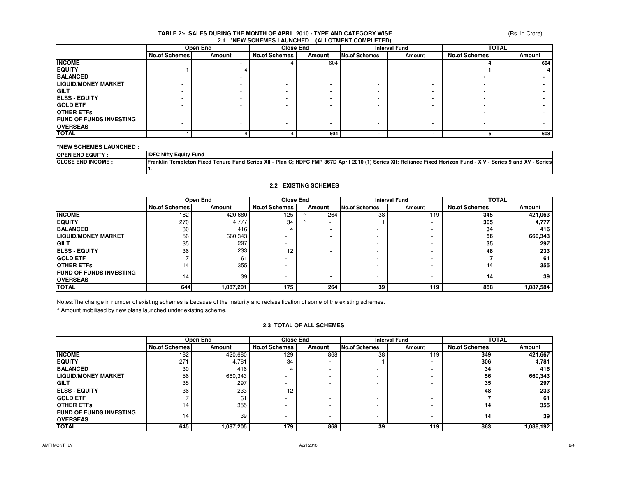### **TABLE 2:- SALES DURING THE MONTH OF APRIL 2010 - TYPE AND CATEGORY WISE2.1 \*NEW SCHEMES LAUNCHED (ALLOTMENT COMPLETED)**

|                                 | Open End                 |        |                      | <b>Close End</b> |                      | <b>Interval Fund</b> |                      | <b>TOTAL</b> |  |
|---------------------------------|--------------------------|--------|----------------------|------------------|----------------------|----------------------|----------------------|--------------|--|
|                                 | <b>No.of Schemes</b>     | Amount | <b>No.of Schemes</b> | Amount           | <b>No.of Schemes</b> | Amount               | <b>No.of Schemes</b> | Amount       |  |
| <b>INCOME</b>                   | $\overline{\phantom{a}}$ |        |                      | 604              |                      |                      |                      | 604          |  |
| <b>EQUITY</b>                   |                          |        |                      |                  |                      |                      |                      |              |  |
| <b>BALANCED</b>                 |                          |        |                      |                  |                      |                      |                      |              |  |
| <b>LIQUID/MONEY MARKET</b>      |                          |        |                      |                  |                      |                      |                      |              |  |
| <b>IGILT</b>                    |                          |        |                      |                  |                      |                      |                      |              |  |
| <b>IELSS - EQUITY</b>           |                          |        |                      |                  |                      |                      |                      |              |  |
| <b>GOLD ETF</b>                 |                          |        |                      |                  |                      |                      |                      |              |  |
| <b>OTHER ETFS</b>               |                          |        |                      | ۰                |                      |                      |                      |              |  |
| <b>IFUND OF FUNDS INVESTING</b> |                          |        |                      |                  |                      |                      |                      |              |  |
| <b>OVERSEAS</b>                 |                          |        |                      |                  |                      |                      |                      |              |  |
| <b>TOTAL</b>                    |                          |        |                      | 604              |                      |                      |                      | 608          |  |

### **\*NEW SCHEMES LAUNCHED :**

| <b>IOPEN END EQUITY:</b>  | <b>IDFC Nifty Equity Fund</b>                                                                                                                                                           |
|---------------------------|-----------------------------------------------------------------------------------------------------------------------------------------------------------------------------------------|
| <b>ICLOSE END INCOME.</b> | il 2010 (1) Series XII; Reliance Fixed Horizon Fund -<br>XIV<br>Series 9 and XV<br>I - Plan C; HDFC FMP 367D April<br>⊦ Fund Series XII ⊦<br>Series.<br>Franklin Templeton Fixed Tenure |
|                           |                                                                                                                                                                                         |

## **2.2 EXISTING SCHEMES**

|                                 | Open End             |           | <b>Close End</b>     |                          | <b>Interval Fund</b>     |                          | <b>TOTAL</b>         |           |
|---------------------------------|----------------------|-----------|----------------------|--------------------------|--------------------------|--------------------------|----------------------|-----------|
|                                 | <b>No.of Schemes</b> | Amount    | <b>No.of Schemes</b> | Amount                   | <b>No.of Schemes</b>     | Amount                   | <b>No.of Schemes</b> | Amount    |
| <b>INCOME</b>                   | 182                  | 420,680   | 125                  | 264                      | 38                       | 119                      | 345                  | 421,063   |
| <b>IEQUITY</b>                  | 270                  | 4,777     | 34                   | $\overline{\phantom{a}}$ |                          |                          | 305                  | 4,777     |
| <b>BALANCED</b>                 | 30                   | 416       |                      |                          |                          |                          | 34                   | 416       |
| <b>LIQUID/MONEY MARKET</b>      | 56                   | 660,343   |                      |                          |                          | $\overline{\phantom{0}}$ | 56                   | 660,343   |
| <b>IGILT</b>                    | 35                   | 297       |                      |                          |                          |                          | 35                   | 297       |
| <b>IELSS - EQUITY</b>           | 36                   | 233       | 12                   |                          |                          |                          | 48                   | 233       |
| <b>IGOLD ETF</b>                |                      | 61        |                      |                          |                          |                          |                      | 61        |
| <b>IOTHER ETFS</b>              | 14                   | 355       |                      |                          |                          | $\overline{\phantom{a}}$ | 141                  | 355       |
| <b>IFUND OF FUNDS INVESTING</b> | 14                   | 39        |                      | $\overline{\phantom{a}}$ | $\overline{\phantom{0}}$ | $\overline{\phantom{a}}$ |                      | 39        |
| <b>OVERSEAS</b>                 |                      |           |                      |                          |                          |                          | 14                   |           |
| <b>TOTAL</b>                    | 644                  | 1,087,201 | 175                  | 264                      | 39                       | 119                      | 858                  | 1,087,584 |

Notes:The change in number of existing schemes is because of the maturity and reclassification of some of the existing schemes.

^ Amount mobilised by new plans launched under existing scheme.

### **2.3 TOTAL OF ALL SCHEMES**

|                                                    | Open End             |               | <b>Close End</b>     |                          | <b>Interval Fund</b> |        | <b>TOTAL</b>         |           |
|----------------------------------------------------|----------------------|---------------|----------------------|--------------------------|----------------------|--------|----------------------|-----------|
|                                                    | <b>No.of Schemes</b> | <b>Amount</b> | <b>No.of Schemes</b> | Amount                   | <b>No.of Schemes</b> | Amount | <b>No.of Schemes</b> | Amount    |
| <b>INCOME</b>                                      | 182                  | 420,680       | 129                  | 868                      | 38                   | 119    | 349                  | 421,667   |
| <b>IEQUITY</b>                                     | 271                  | 4,781         | 34                   | $\overline{\phantom{0}}$ |                      | -      | 306                  | 4,781     |
| <b>BALANCED</b>                                    | 30                   | 416           |                      | -                        |                      |        | 34                   | 416       |
| <b>LIQUID/MONEY MARKET</b>                         | 56                   | 660,343       |                      | -                        |                      |        | 56                   | 660,343   |
| <b>IGILT</b>                                       | 35                   | 297           |                      | -                        |                      |        | 35                   | 297       |
| <b>IELSS - EQUITY</b>                              | 36                   | 233           | 12                   | -                        |                      |        | 48                   | 233       |
| <b>IGOLD ETF</b>                                   |                      | 61            |                      | -                        |                      |        |                      | 61        |
| <b>IOTHER ETFS</b>                                 | 14                   | 355           |                      | -                        |                      |        | 14                   | 355       |
| <b>IFUND OF FUNDS INVESTING</b><br><b>OVERSEAS</b> | 14                   | 39            |                      | -                        | -                    | -      | 14                   | 39        |
| <b>TOTAL</b>                                       | 645                  | 1,087,205     | 179                  | 868                      | 39                   | 119    | 863                  | 1,088,192 |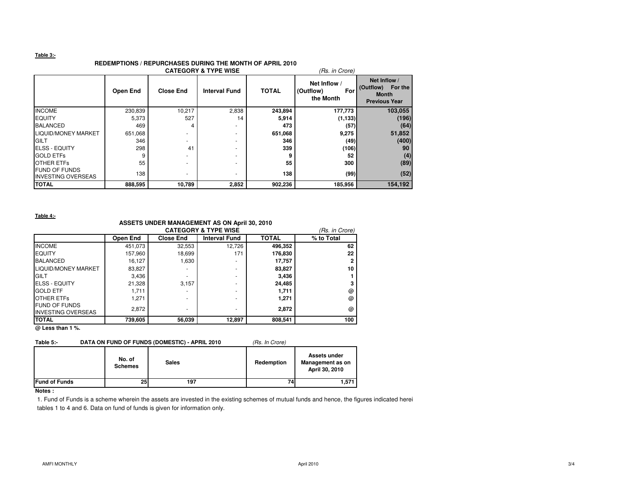### **Table 3:-**

# **REDEMPTIONS / REPURCHASES DURING THE MONTH OF APRIL 2010**

| <b>CATEGORY &amp; TYPE WISE</b><br>(Rs. in Crore) |                 |                  |                      |              |                                               |                                                                              |  |  |
|---------------------------------------------------|-----------------|------------------|----------------------|--------------|-----------------------------------------------|------------------------------------------------------------------------------|--|--|
|                                                   | <b>Open End</b> | <b>Close End</b> | <b>Interval Fund</b> | <b>TOTAL</b> | Net Inflow /<br>(Outflow)<br>For<br>the Month | Net Inflow /<br>(Outflow)<br>For the<br><b>Month</b><br><b>Previous Year</b> |  |  |
| <b>INCOME</b>                                     | 230,839         | 10,217           | 2,838                | 243,894      | 177,773                                       | 103,055                                                                      |  |  |
| <b>EQUITY</b>                                     | 5,373           | 527              | 14                   | 5,914        | (1, 133)                                      | (196)                                                                        |  |  |
| <b>BALANCED</b>                                   | 469             |                  | ۰.                   | 473          | (57)                                          | (64)                                                                         |  |  |
| LIQUID/MONEY MARKET                               | 651,068         |                  |                      | 651,068      | 9,275                                         | 51,852                                                                       |  |  |
| <b>GILT</b>                                       | 346             | -                | -                    | 346          | (49)                                          | (400)                                                                        |  |  |
| <b>ELSS - EQUITY</b>                              | 298             | 41               |                      | 339          | (106)                                         | 90                                                                           |  |  |
| <b>GOLD ETFs</b>                                  |                 |                  |                      | 9            | 52                                            | (4)                                                                          |  |  |
| <b>OTHER ETFS</b>                                 | 55              | -                |                      | 55           | 300                                           | (89)                                                                         |  |  |
| <b>FUND OF FUNDS</b><br><b>INVESTING OVERSEAS</b> | 138             | -                |                      | 138          | (99)                                          | (52)                                                                         |  |  |
| <b>TOTAL</b>                                      | 888,595         | 10,789           | 2,852                | 902,236      | 185,956                                       | 154,192                                                                      |  |  |

**Table 4:-**

### **ASSETS UNDER MANAGEMENT AS ON April 30, 2010**

|                                                   | <b>CATEGORY &amp; TYPE WISE</b> |                  |                      |              |            |  |  |
|---------------------------------------------------|---------------------------------|------------------|----------------------|--------------|------------|--|--|
|                                                   | Open End                        | <b>Close End</b> | <b>Interval Fund</b> | <b>TOTAL</b> | % to Total |  |  |
| <b>INCOME</b>                                     | 451.073                         | 32,553           | 12,726               | 496.352      | 62         |  |  |
| <b>EQUITY</b>                                     | 157,960                         | 18,699           | 171                  | 176,830      | 22         |  |  |
| <b>BALANCED</b>                                   | 16,127                          | 1,630            |                      | 17,757       |            |  |  |
| LIQUID/MONEY MARKET                               | 83,827                          |                  | -                    | 83,827       | 10         |  |  |
| GILT                                              | 3,436                           |                  | ٠                    | 3.436        |            |  |  |
| <b>ELSS - EQUITY</b>                              | 21,328                          | 3.157            | -                    | 24.485       |            |  |  |
| <b>GOLD ETF</b>                                   | 1.711                           |                  | -                    | 1,711        | @          |  |  |
| <b>OTHER ETFS</b>                                 | 1,271                           |                  |                      | 1,271        | @          |  |  |
| <b>FUND OF FUNDS</b><br><b>INVESTING OVERSEAS</b> | 2,872                           | -                | -                    | 2.872        | @          |  |  |
| <b>TOTAL</b>                                      | 739,605                         | 56,039           | 12,897               | 808,541      | 100        |  |  |

**@ Less than 1 %.**

# **Table 5:-** DATA ON FUND OF FUNDS (DOMESTIC) - APRIL 2010 (Rs. In Crore)

|                      | No. of<br><b>Schemes</b> | <b>Sales</b> | Redemption | Assets under<br>Management as on<br>April 30, 2010 |
|----------------------|--------------------------|--------------|------------|----------------------------------------------------|
| <b>Fund of Funds</b> | 25                       | 197          | 74         | 1,571                                              |

## **Notes :**

1. Fund of Funds is a scheme wherein the assets are invested in the existing schemes of mutual funds and hence, the figures indicated herei tables 1 to 4 and 6. Data on fund of funds is given for information only.